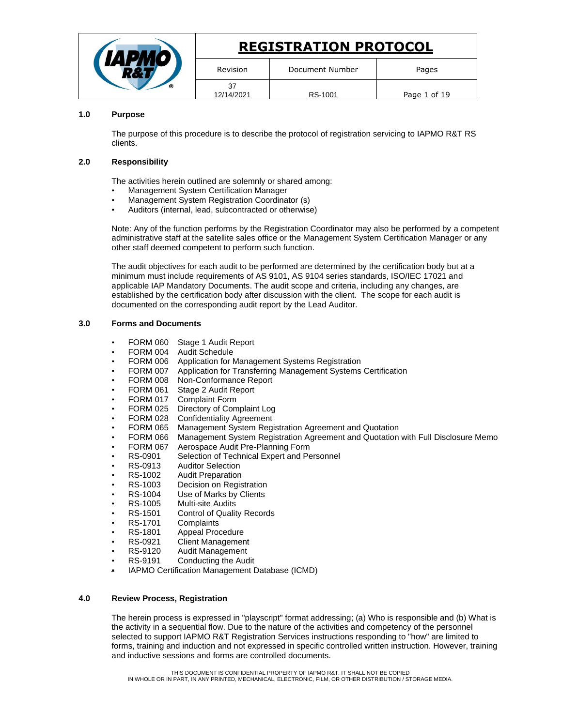|  | <b>REGISTRATION PROTOCOL</b> |                 |              |
|--|------------------------------|-----------------|--------------|
|  | Revision                     | Document Number | Pages        |
|  | 37<br>12/14/2021             | RS-1001         | Page 1 of 19 |

# **1.0 Purpose**

The purpose of this procedure is to describe the protocol of registration servicing to IAPMO R&T RS clients.

### **2.0 Responsibility**

The activities herein outlined are solemnly or shared among:

- Management System Certification Manager
- Management System Registration Coordinator (s)
- Auditors (internal, lead, subcontracted or otherwise)

Note: Any of the function performs by the Registration Coordinator may also be performed by a competent administrative staff at the satellite sales office or the Management System Certification Manager or any other staff deemed competent to perform such function.

The audit objectives for each audit to be performed are determined by the certification body but at a minimum must include requirements of AS 9101, AS 9104 series standards, ISO/IEC 17021 and applicable IAP Mandatory Documents. The audit scope and criteria, including any changes, are established by the certification body after discussion with the client. The scope for each audit is documented on the corresponding audit report by the Lead Auditor.

# **3.0 Forms and Documents**

- FORM 060 Stage 1 Audit Report
- FORM 004 Audit Schedule
- FORM 006 Application for Management Systems Registration
- FORM 007 Application for Transferring Management Systems Certification
- FORM 008 Non-Conformance Report
- FORM 061 Stage 2 Audit Report
- FORM 017 Complaint Form
- FORM 025 Directory of Complaint Log
- FORM 028 Confidentiality Agreement
- FORM 065 Management System Registration Agreement and Quotation
- FORM 066 Management System Registration Agreement and Quotation with Full Disclosure Memo
- FORM 067 Aerospace Audit Pre-Planning Form
- RS-0901 Selection of Technical Expert and Personnel<br>RS-0913 Auditor Selection
- RS-0913 Auditor Selection<br>RS-1002 Audit Preparation
- **Audit Preparation**
- RS-1003 Decision on Registration
- RS-1004 Use of Marks by Clients<br>RS-1005 Multi-site Audits
- 
- RS-1005 Multi-site Audits<br>RS-1501 Control of Qualit Control of Quality Records
- RS-1701 Complaints
- RS-1801 Appeal Procedure
- RS-0921 Client Management
- RS-9120 Audit Management
- RS-9191 Conducting the Audit
- IAPMO Certification Management Database (ICMD)

# **4.0 Review Process, Registration**

The herein process is expressed in "playscript" format addressing; (a) Who is responsible and (b) What is the activity in a sequential flow. Due to the nature of the activities and competency of the personnel selected to support IAPMO R&T Registration Services instructions responding to "how" are limited to forms, training and induction and not expressed in specific controlled written instruction. However, training and inductive sessions and forms are controlled documents.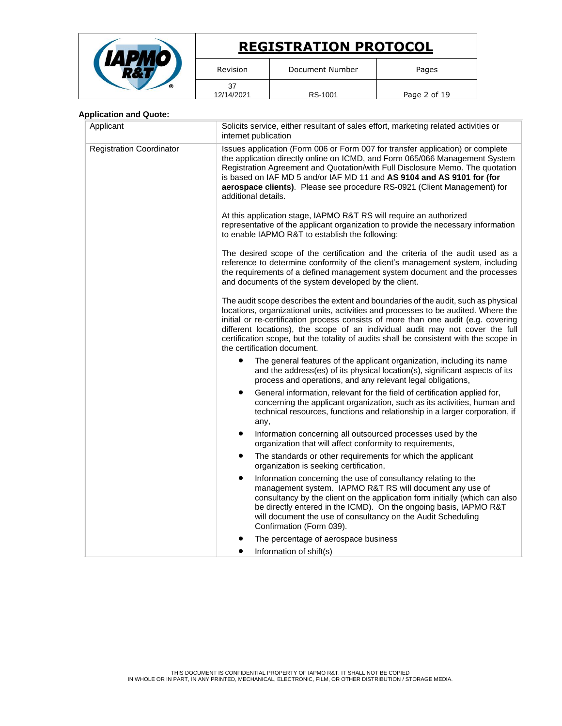|   | <b>REGISTRATION PROTOCOL</b> |                 |              |
|---|------------------------------|-----------------|--------------|
|   | Revision                     | Document Number | Pages        |
| ര | 37<br>12/14/2021             | RS-1001         | Page 2 of 19 |

# **Application and Quote:**

| Applicant                       | Solicits service, either resultant of sales effort, marketing related activities or<br>internet publication                                                                                                                                                                                                                                                                                                                                                             |  |  |
|---------------------------------|-------------------------------------------------------------------------------------------------------------------------------------------------------------------------------------------------------------------------------------------------------------------------------------------------------------------------------------------------------------------------------------------------------------------------------------------------------------------------|--|--|
| <b>Registration Coordinator</b> | Issues application (Form 006 or Form 007 for transfer application) or complete<br>the application directly online on ICMD, and Form 065/066 Management System<br>Registration Agreement and Quotation/with Full Disclosure Memo. The quotation<br>is based on IAF MD 5 and/or IAF MD 11 and AS 9104 and AS 9101 for (for<br>aerospace clients). Please see procedure RS-0921 (Client Management) for<br>additional details.                                             |  |  |
|                                 | At this application stage, IAPMO R&T RS will require an authorized<br>representative of the applicant organization to provide the necessary information<br>to enable IAPMO R&T to establish the following:                                                                                                                                                                                                                                                              |  |  |
|                                 | The desired scope of the certification and the criteria of the audit used as a<br>reference to determine conformity of the client's management system, including<br>the requirements of a defined management system document and the processes<br>and documents of the system developed by the client.                                                                                                                                                                  |  |  |
|                                 | The audit scope describes the extent and boundaries of the audit, such as physical<br>locations, organizational units, activities and processes to be audited. Where the<br>initial or re-certification process consists of more than one audit (e.g. covering<br>different locations), the scope of an individual audit may not cover the full<br>certification scope, but the totality of audits shall be consistent with the scope in<br>the certification document. |  |  |
|                                 | The general features of the applicant organization, including its name<br>and the address(es) of its physical location(s), significant aspects of its<br>process and operations, and any relevant legal obligations,                                                                                                                                                                                                                                                    |  |  |
|                                 | General information, relevant for the field of certification applied for,<br>٠<br>concerning the applicant organization, such as its activities, human and<br>technical resources, functions and relationship in a larger corporation, if<br>any,                                                                                                                                                                                                                       |  |  |
|                                 | Information concerning all outsourced processes used by the<br>٠<br>organization that will affect conformity to requirements,                                                                                                                                                                                                                                                                                                                                           |  |  |
|                                 | The standards or other requirements for which the applicant<br>٠<br>organization is seeking certification,                                                                                                                                                                                                                                                                                                                                                              |  |  |
|                                 | Information concerning the use of consultancy relating to the<br>$\bullet$<br>management system. IAPMO R&T RS will document any use of<br>consultancy by the client on the application form initially (which can also<br>be directly entered in the ICMD). On the ongoing basis, IAPMO R&T<br>will document the use of consultancy on the Audit Scheduling<br>Confirmation (Form 039).                                                                                  |  |  |
|                                 | The percentage of aerospace business<br>Information of shift(s)                                                                                                                                                                                                                                                                                                                                                                                                         |  |  |
|                                 |                                                                                                                                                                                                                                                                                                                                                                                                                                                                         |  |  |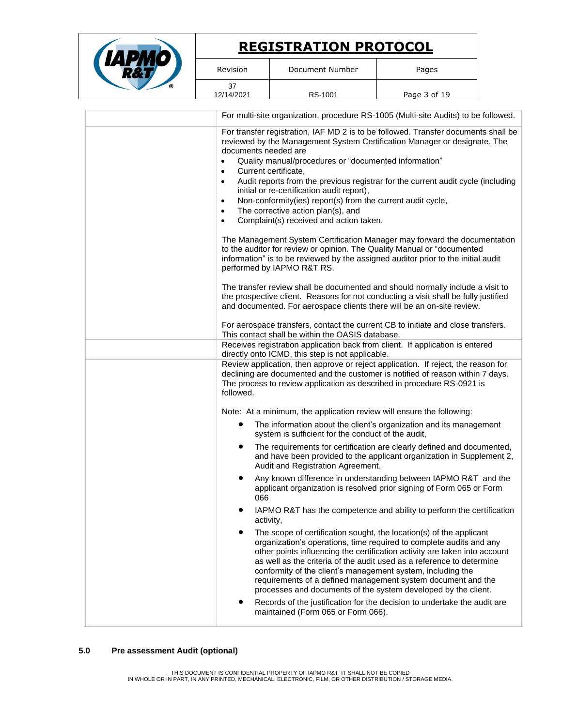|                                                                                                                                                                                                                                                            | <b>REGISTRATION PROTOCOL</b>                                                                                                                                                                                                                                                      |                                                                                                                                                                                                                                                                                                                                                                                                                                                                                                                                                                                                                                                                                                                                                     |  |
|------------------------------------------------------------------------------------------------------------------------------------------------------------------------------------------------------------------------------------------------------------|-----------------------------------------------------------------------------------------------------------------------------------------------------------------------------------------------------------------------------------------------------------------------------------|-----------------------------------------------------------------------------------------------------------------------------------------------------------------------------------------------------------------------------------------------------------------------------------------------------------------------------------------------------------------------------------------------------------------------------------------------------------------------------------------------------------------------------------------------------------------------------------------------------------------------------------------------------------------------------------------------------------------------------------------------------|--|
| Revision                                                                                                                                                                                                                                                   | Document Number                                                                                                                                                                                                                                                                   | Pages                                                                                                                                                                                                                                                                                                                                                                                                                                                                                                                                                                                                                                                                                                                                               |  |
| 37<br>12/14/2021                                                                                                                                                                                                                                           | RS-1001                                                                                                                                                                                                                                                                           | Page 3 of 19                                                                                                                                                                                                                                                                                                                                                                                                                                                                                                                                                                                                                                                                                                                                        |  |
|                                                                                                                                                                                                                                                            |                                                                                                                                                                                                                                                                                   | For multi-site organization, procedure RS-1005 (Multi-site Audits) to be followed.                                                                                                                                                                                                                                                                                                                                                                                                                                                                                                                                                                                                                                                                  |  |
| documents needed are<br>$\bullet$<br>Current certificate,<br>$\bullet$<br>$\bullet$<br>$\bullet$<br>$\bullet$<br>$\bullet$                                                                                                                                 | Quality manual/procedures or "documented information"<br>initial or re-certification audit report),<br>Non-conformity(ies) report(s) from the current audit cycle,<br>The corrective action plan(s), and<br>Complaint(s) received and action taken.<br>performed by IAPMO R&T RS. | For transfer registration, IAF MD 2 is to be followed. Transfer documents shall be<br>reviewed by the Management System Certification Manager or designate. The<br>Audit reports from the previous registrar for the current audit cycle (including<br>The Management System Certification Manager may forward the documentation<br>to the auditor for review or opinion. The Quality Manual or "documented<br>information" is to be reviewed by the assigned auditor prior to the initial audit<br>The transfer review shall be documented and should normally include a visit to<br>the prospective client. Reasons for not conducting a visit shall be fully justified<br>and documented. For aerospace clients there will be an on-site review. |  |
|                                                                                                                                                                                                                                                            | This contact shall be within the OASIS database.                                                                                                                                                                                                                                  | For aerospace transfers, contact the current CB to initiate and close transfers.                                                                                                                                                                                                                                                                                                                                                                                                                                                                                                                                                                                                                                                                    |  |
|                                                                                                                                                                                                                                                            | Receives registration application back from client. If application is entered<br>directly onto ICMD, this step is not applicable.                                                                                                                                                 |                                                                                                                                                                                                                                                                                                                                                                                                                                                                                                                                                                                                                                                                                                                                                     |  |
| Review application, then approve or reject application. If reject, the reason for<br>declining are documented and the customer is notified of reason within 7 days.<br>The process to review application as described in procedure RS-0921 is<br>followed. |                                                                                                                                                                                                                                                                                   |                                                                                                                                                                                                                                                                                                                                                                                                                                                                                                                                                                                                                                                                                                                                                     |  |
|                                                                                                                                                                                                                                                            | Note: At a minimum, the application review will ensure the following:                                                                                                                                                                                                             |                                                                                                                                                                                                                                                                                                                                                                                                                                                                                                                                                                                                                                                                                                                                                     |  |
| The information about the client's organization and its management<br>system is sufficient for the conduct of the audit,                                                                                                                                   |                                                                                                                                                                                                                                                                                   |                                                                                                                                                                                                                                                                                                                                                                                                                                                                                                                                                                                                                                                                                                                                                     |  |
|                                                                                                                                                                                                                                                            | Audit and Registration Agreement,                                                                                                                                                                                                                                                 | The requirements for certification are clearly defined and documented,<br>and have been provided to the applicant organization in Supplement 2,                                                                                                                                                                                                                                                                                                                                                                                                                                                                                                                                                                                                     |  |
| $\bullet$<br>066                                                                                                                                                                                                                                           |                                                                                                                                                                                                                                                                                   | Any known difference in understanding between IAPMO R&T and the<br>applicant organization is resolved prior signing of Form 065 or Form                                                                                                                                                                                                                                                                                                                                                                                                                                                                                                                                                                                                             |  |
| IAPMO R&T has the competence and ability to perform the certification<br>٠<br>activity,                                                                                                                                                                    |                                                                                                                                                                                                                                                                                   |                                                                                                                                                                                                                                                                                                                                                                                                                                                                                                                                                                                                                                                                                                                                                     |  |
| $\bullet$                                                                                                                                                                                                                                                  | conformity of the client's management system, including the                                                                                                                                                                                                                       | The scope of certification sought, the location(s) of the applicant<br>organization's operations, time required to complete audits and any<br>other points influencing the certification activity are taken into account<br>as well as the criteria of the audit used as a reference to determine                                                                                                                                                                                                                                                                                                                                                                                                                                                   |  |

processes and documents of the system developed by the client. • Records of the justification for the decision to undertake the audit are maintained (Form 065 or Form 066).

requirements of a defined management system document and the

#### **5.0 Pre assessment Audit (optional)**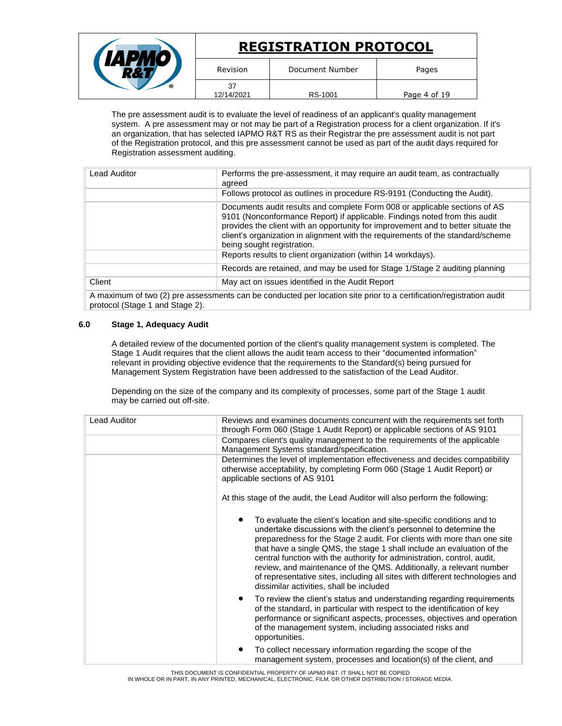|   | <b>REGISTRATION PROTOCOL</b> |                 |              |
|---|------------------------------|-----------------|--------------|
|   | Revision                     | Document Number | Pages        |
| ® | 37<br>12/14/2021             | RS-1001         | Page 4 of 19 |

The pre assessment audit is to evaluate the level of readiness of an applicant's quality management system. A pre assessment may or not may be part of a Registration process for a client organization. If it's an organization, that has selected IAPMO R&T RS as their Registrar the pre assessment audit is not part of the Registration protocol, and this pre assessment cannot be used as part of the audit days required for Registration assessment auditing.

| Lead Auditor | Performs the pre-assessment, it may require an audit team, as contractually<br>agreed                                                                                                                                                                                                                                                                          |
|--------------|----------------------------------------------------------------------------------------------------------------------------------------------------------------------------------------------------------------------------------------------------------------------------------------------------------------------------------------------------------------|
|              | Follows protocol as outlines in procedure RS-9191 (Conducting the Audit).                                                                                                                                                                                                                                                                                      |
|              | Documents audit results and complete Form 008 or applicable sections of AS<br>9101 (Nonconformance Report) if applicable. Findings noted from this audit<br>provides the client with an opportunity for improvement and to better situate the<br>client's organization in alignment with the requirements of the standard/scheme<br>being sought registration. |
|              | Reports results to client organization (within 14 workdays).                                                                                                                                                                                                                                                                                                   |
|              | Records are retained, and may be used for Stage 1/Stage 2 auditing planning                                                                                                                                                                                                                                                                                    |
| Client       | May act on issues identified in the Audit Report                                                                                                                                                                                                                                                                                                               |
|              |                                                                                                                                                                                                                                                                                                                                                                |

A maximum of two (2) pre assessments can be conducted per location site prior to a certification/registration audit protocol (Stage 1 and Stage 2).

# **6.0 Stage 1, Adequacy Audit**

A detailed review of the documented portion of the client's quality management system is completed. The Stage 1 Audit requires that the client allows the audit team access to their "documented information" relevant in providing objective evidence that the requirements to the Standard(s) being pursued for Management System Registration have been addressed to the satisfaction of the Lead Auditor.

Depending on the size of the company and its complexity of processes, some part of the Stage 1 audit may be carried out off-site.

| <b>Lead Auditor</b> | Reviews and examines documents concurrent with the requirements set forth<br>through Form 060 (Stage 1 Audit Report) or applicable sections of AS 9101                                                                                                                                                                                                                                                                                                                                                                                                                         |  |  |
|---------------------|--------------------------------------------------------------------------------------------------------------------------------------------------------------------------------------------------------------------------------------------------------------------------------------------------------------------------------------------------------------------------------------------------------------------------------------------------------------------------------------------------------------------------------------------------------------------------------|--|--|
|                     | Compares client's quality management to the requirements of the applicable<br>Management Systems standard/specification.                                                                                                                                                                                                                                                                                                                                                                                                                                                       |  |  |
|                     | Determines the level of implementation effectiveness and decides compatibility<br>otherwise acceptability, by completing Form 060 (Stage 1 Audit Report) or<br>applicable sections of AS 9101                                                                                                                                                                                                                                                                                                                                                                                  |  |  |
|                     | At this stage of the audit, the Lead Auditor will also perform the following:                                                                                                                                                                                                                                                                                                                                                                                                                                                                                                  |  |  |
|                     | To evaluate the client's location and site-specific conditions and to<br>undertake discussions with the client's personnel to determine the<br>preparedness for the Stage 2 audit. For clients with more than one site<br>that have a single QMS, the stage 1 shall include an evaluation of the<br>central function with the authority for administration, control, audit,<br>review, and maintenance of the QMS. Additionally, a relevant number<br>of representative sites, including all sites with different technologies and<br>dissimilar activities, shall be included |  |  |
|                     | To review the client's status and understanding regarding requirements<br>٠<br>of the standard, in particular with respect to the identification of key<br>performance or significant aspects, processes, objectives and operation<br>of the management system, including associated risks and<br>opportunities.                                                                                                                                                                                                                                                               |  |  |
|                     | To collect necessary information regarding the scope of the<br>٠<br>management system, processes and location(s) of the client, and                                                                                                                                                                                                                                                                                                                                                                                                                                            |  |  |

THIS DOCUMENT IS CONFIDENTIAL PROPERTY OF IAPMO R&T. IT SHALL NOT BE COPIED IN WHOLE OR IN PART, IN ANY PRINTED, MECHANICAL, ELECTRONIC, FILM, OR OTHER DISTRIBUTION / STORAGE MEDIA.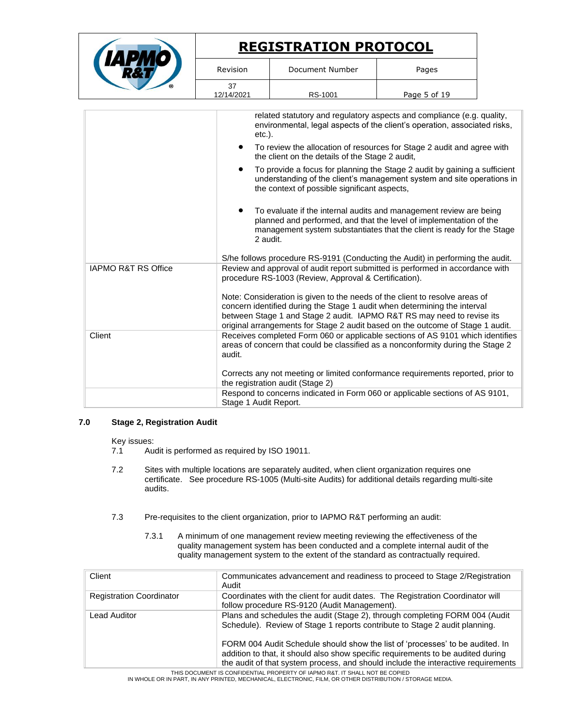|                                |                                    | <b>REGISTRATION PROTOCOL</b>                                                                                                                                                                                                                                                                                                                                                                                                                                                                                                                                                                                                                                                                                  |              |  |
|--------------------------------|------------------------------------|---------------------------------------------------------------------------------------------------------------------------------------------------------------------------------------------------------------------------------------------------------------------------------------------------------------------------------------------------------------------------------------------------------------------------------------------------------------------------------------------------------------------------------------------------------------------------------------------------------------------------------------------------------------------------------------------------------------|--------------|--|
|                                | Revision                           | Document Number                                                                                                                                                                                                                                                                                                                                                                                                                                                                                                                                                                                                                                                                                               | Pages        |  |
|                                | 37<br>12/14/2021                   | RS-1001                                                                                                                                                                                                                                                                                                                                                                                                                                                                                                                                                                                                                                                                                                       | Page 5 of 19 |  |
|                                | $etc.$ ).<br>$\bullet$<br>2 audit. | related statutory and regulatory aspects and compliance (e.g. quality,<br>environmental, legal aspects of the client's operation, associated risks,<br>To review the allocation of resources for Stage 2 audit and agree with<br>the client on the details of the Stage 2 audit,<br>To provide a focus for planning the Stage 2 audit by gaining a sufficient<br>understanding of the client's management system and site operations in<br>the context of possible significant aspects,<br>To evaluate if the internal audits and management review are being<br>planned and performed, and that the level of implementation of the<br>management system substantiates that the client is ready for the Stage |              |  |
|                                |                                    | S/he follows procedure RS-9191 (Conducting the Audit) in performing the audit.                                                                                                                                                                                                                                                                                                                                                                                                                                                                                                                                                                                                                                |              |  |
| <b>IAPMO R&amp;T RS Office</b> |                                    | Review and approval of audit report submitted is performed in accordance with<br>procedure RS-1003 (Review, Approval & Certification).<br>Note: Consideration is given to the needs of the client to resolve areas of<br>concern identified during the Stage 1 audit when determining the interval<br>between Stage 1 and Stage 2 audit. IAPMO R&T RS may need to revise its<br>original arrangements for Stage 2 audit based on the outcome of Stage 1 audit.                                                                                                                                                                                                                                                |              |  |
| Client                         | audit.                             | Receives completed Form 060 or applicable sections of AS 9101 which identifies<br>areas of concern that could be classified as a nonconformity during the Stage 2<br>Corrects any not meeting or limited conformance requirements reported, prior to<br>the registration audit (Stage 2)                                                                                                                                                                                                                                                                                                                                                                                                                      |              |  |
|                                | Stage 1 Audit Report.              | Respond to concerns indicated in Form 060 or applicable sections of AS 9101,                                                                                                                                                                                                                                                                                                                                                                                                                                                                                                                                                                                                                                  |              |  |

# **7.0 Stage 2, Registration Audit**

Key issues:<br>7.1 Au

- Audit is performed as required by ISO 19011.
- 7.2 Sites with multiple locations are separately audited, when client organization requires one certificate. See procedure RS-1005 (Multi-site Audits) for additional details regarding multi-site audits.
- 7.3 Pre-requisites to the client organization, prior to IAPMO R&T performing an audit:
	- 7.3.1 A minimum of one management review meeting reviewing the effectiveness of the quality management system has been conducted and a complete internal audit of the quality management system to the extent of the standard as contractually required.

| Client                          | Communicates advancement and readiness to proceed to Stage 2/Registration<br>Audit                                                                                                                                                                     |
|---------------------------------|--------------------------------------------------------------------------------------------------------------------------------------------------------------------------------------------------------------------------------------------------------|
| <b>Registration Coordinator</b> | Coordinates with the client for audit dates. The Registration Coordinator will<br>follow procedure RS-9120 (Audit Management).                                                                                                                         |
| Lead Auditor                    | Plans and schedules the audit (Stage 2), through completing FORM 004 (Audit<br>Schedule). Review of Stage 1 reports contribute to Stage 2 audit planning.                                                                                              |
|                                 | FORM 004 Audit Schedule should show the list of 'processes' to be audited. In<br>addition to that, it should also show specific requirements to be audited during<br>the audit of that system process, and should include the interactive requirements |

THIS DOCUMENT IS CONFIDENTIAL PROPERTY OF IAPMO R&T. IT SHALL NOT BE COPIED<br>IN WHOLE OR IN PART, IN ANY PRINTED, MECHANICAL, ELECTRONIC, FILM, OR OTHER DISTRIBUTION / STORAGE MEDIA.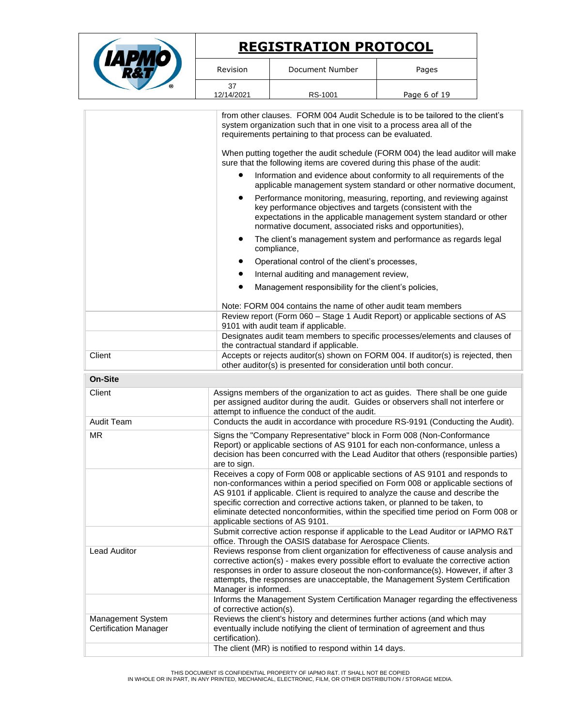|                                                   | <b>REGISTRATION PROTOCOL</b>                                                                                                                                                                                                                                 |                                                                                                                                                                                                                                                                                                                                                                                                                                                                                                                                                                                   |                                                                                                                                                                                                                                                                                                                                                                                                                                                                                                                                                                                                               |
|---------------------------------------------------|--------------------------------------------------------------------------------------------------------------------------------------------------------------------------------------------------------------------------------------------------------------|-----------------------------------------------------------------------------------------------------------------------------------------------------------------------------------------------------------------------------------------------------------------------------------------------------------------------------------------------------------------------------------------------------------------------------------------------------------------------------------------------------------------------------------------------------------------------------------|---------------------------------------------------------------------------------------------------------------------------------------------------------------------------------------------------------------------------------------------------------------------------------------------------------------------------------------------------------------------------------------------------------------------------------------------------------------------------------------------------------------------------------------------------------------------------------------------------------------|
|                                                   | Revision                                                                                                                                                                                                                                                     | Document Number                                                                                                                                                                                                                                                                                                                                                                                                                                                                                                                                                                   | Pages                                                                                                                                                                                                                                                                                                                                                                                                                                                                                                                                                                                                         |
|                                                   | 37<br>12/14/2021                                                                                                                                                                                                                                             | RS-1001                                                                                                                                                                                                                                                                                                                                                                                                                                                                                                                                                                           | Page 6 of 19                                                                                                                                                                                                                                                                                                                                                                                                                                                                                                                                                                                                  |
|                                                   | ٠                                                                                                                                                                                                                                                            | system organization such that in one visit to a process area all of the<br>requirements pertaining to that process can be evaluated.<br>sure that the following items are covered during this phase of the audit:<br>key performance objectives and targets (consistent with the<br>normative document, associated risks and opportunities),<br>compliance,<br>Operational control of the client's processes,<br>Internal auditing and management review,<br>Management responsibility for the client's policies,<br>Note: FORM 004 contains the name of other audit team members | from other clauses. FORM 004 Audit Schedule is to be tailored to the client's<br>When putting together the audit schedule (FORM 004) the lead auditor will make<br>Information and evidence about conformity to all requirements of the<br>applicable management system standard or other normative document,<br>Performance monitoring, measuring, reporting, and reviewing against<br>expectations in the applicable management system standard or other<br>The client's management system and performance as regards legal<br>Review report (Form 060 - Stage 1 Audit Report) or applicable sections of AS |
|                                                   |                                                                                                                                                                                                                                                              | 9101 with audit team if applicable.                                                                                                                                                                                                                                                                                                                                                                                                                                                                                                                                               | Designates audit team members to specific processes/elements and clauses of                                                                                                                                                                                                                                                                                                                                                                                                                                                                                                                                   |
| Client                                            | the contractual standard if applicable.<br>Accepts or rejects auditor(s) shown on FORM 004. If auditor(s) is rejected, then<br>other auditor(s) is presented for consideration until both concur.                                                            |                                                                                                                                                                                                                                                                                                                                                                                                                                                                                                                                                                                   |                                                                                                                                                                                                                                                                                                                                                                                                                                                                                                                                                                                                               |
| <b>On-Site</b>                                    |                                                                                                                                                                                                                                                              |                                                                                                                                                                                                                                                                                                                                                                                                                                                                                                                                                                                   |                                                                                                                                                                                                                                                                                                                                                                                                                                                                                                                                                                                                               |
| Client                                            |                                                                                                                                                                                                                                                              | attempt to influence the conduct of the audit.                                                                                                                                                                                                                                                                                                                                                                                                                                                                                                                                    | Assigns members of the organization to act as guides. There shall be one guide<br>per assigned auditor during the audit. Guides or observers shall not interfere or                                                                                                                                                                                                                                                                                                                                                                                                                                           |
| <b>Audit Team</b>                                 |                                                                                                                                                                                                                                                              |                                                                                                                                                                                                                                                                                                                                                                                                                                                                                                                                                                                   | Conducts the audit in accordance with procedure RS-9191 (Conducting the Audit).                                                                                                                                                                                                                                                                                                                                                                                                                                                                                                                               |
| <b>MR</b>                                         | Signs the "Company Representative" block in Form 008 (Non-Conformance<br>Report) or applicable sections of AS 9101 for each non-conformance, unless a<br>decision has been concurred with the Lead Auditor that others (responsible parties)<br>are to sign. |                                                                                                                                                                                                                                                                                                                                                                                                                                                                                                                                                                                   |                                                                                                                                                                                                                                                                                                                                                                                                                                                                                                                                                                                                               |
|                                                   |                                                                                                                                                                                                                                                              | specific correction and corrective actions taken, or planned to be taken, to<br>applicable sections of AS 9101.                                                                                                                                                                                                                                                                                                                                                                                                                                                                   | Receives a copy of Form 008 or applicable sections of AS 9101 and responds to<br>non-conformances within a period specified on Form 008 or applicable sections of<br>AS 9101 if applicable. Client is required to analyze the cause and describe the<br>eliminate detected nonconformities, within the specified time period on Form 008 or                                                                                                                                                                                                                                                                   |
|                                                   |                                                                                                                                                                                                                                                              | office. Through the OASIS database for Aerospace Clients.                                                                                                                                                                                                                                                                                                                                                                                                                                                                                                                         | Submit corrective action response if applicable to the Lead Auditor or IAPMO R&T                                                                                                                                                                                                                                                                                                                                                                                                                                                                                                                              |
| <b>Lead Auditor</b>                               | Manager is informed.                                                                                                                                                                                                                                         |                                                                                                                                                                                                                                                                                                                                                                                                                                                                                                                                                                                   | Reviews response from client organization for effectiveness of cause analysis and<br>corrective action(s) - makes every possible effort to evaluate the corrective action<br>responses in order to assure closeout the non-conformance(s). However, if after 3<br>attempts, the responses are unacceptable, the Management System Certification                                                                                                                                                                                                                                                               |
|                                                   | of corrective action(s).                                                                                                                                                                                                                                     |                                                                                                                                                                                                                                                                                                                                                                                                                                                                                                                                                                                   | Informs the Management System Certification Manager regarding the effectiveness                                                                                                                                                                                                                                                                                                                                                                                                                                                                                                                               |
| Management System<br><b>Certification Manager</b> | certification).                                                                                                                                                                                                                                              | eventually include notifying the client of termination of agreement and thus<br>The client (MR) is notified to respond within 14 days.                                                                                                                                                                                                                                                                                                                                                                                                                                            | Reviews the client's history and determines further actions (and which may                                                                                                                                                                                                                                                                                                                                                                                                                                                                                                                                    |

THIS DOCUMENT IS CONFIDENTIAL PROPERTY OF IAPMO R&T. IT SHALL NOT BE COPIED<br>IN WHOLE OR IN PART, IN ANY PRINTED, MECHANICAL, ELECTRONIC, FILM, OR OTHER DISTRIBUTION / STORAGE MEDIA.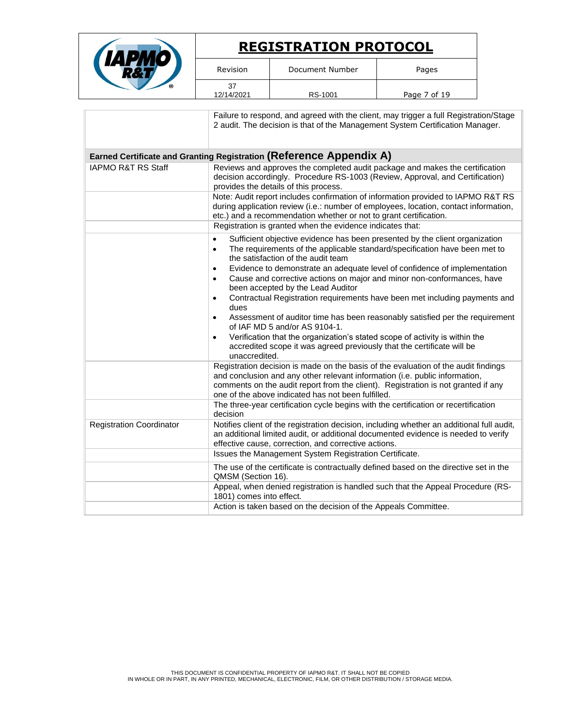|  | <b>REGISTRATION PROTOCOL</b> |                 |              |
|--|------------------------------|-----------------|--------------|
|  | Revision                     | Document Number | Pages        |
|  | 37<br>12/14/2021             | RS-1001         | Page 7 of 19 |

|                                 | Failure to respond, and agreed with the client, may trigger a full Registration/Stage<br>2 audit. The decision is that of the Management System Certification Manager.                                                                                                                                       |
|---------------------------------|--------------------------------------------------------------------------------------------------------------------------------------------------------------------------------------------------------------------------------------------------------------------------------------------------------------|
|                                 | Earned Certificate and Granting Registration (Reference Appendix A)                                                                                                                                                                                                                                          |
| <b>IAPMO R&amp;T RS Staff</b>   | Reviews and approves the completed audit package and makes the certification<br>decision accordingly. Procedure RS-1003 (Review, Approval, and Certification)<br>provides the details of this process.                                                                                                       |
|                                 | Note: Audit report includes confirmation of information provided to IAPMO R&T RS<br>during application review (i.e.: number of employees, location, contact information,<br>etc.) and a recommendation whether or not to grant certification.                                                                |
|                                 | Registration is granted when the evidence indicates that:                                                                                                                                                                                                                                                    |
|                                 | Sufficient objective evidence has been presented by the client organization<br>$\bullet$<br>The requirements of the applicable standard/specification have been met to<br>$\bullet$<br>the satisfaction of the audit team                                                                                    |
|                                 | Evidence to demonstrate an adequate level of confidence of implementation<br>$\bullet$<br>Cause and corrective actions on major and minor non-conformances, have<br>$\bullet$<br>been accepted by the Lead Auditor                                                                                           |
|                                 | Contractual Registration requirements have been met including payments and<br>$\bullet$<br>dues                                                                                                                                                                                                              |
|                                 | Assessment of auditor time has been reasonably satisfied per the requirement<br>$\bullet$<br>of IAF MD 5 and/or AS 9104-1.                                                                                                                                                                                   |
|                                 | Verification that the organization's stated scope of activity is within the<br>$\bullet$<br>accredited scope it was agreed previously that the certificate will be<br>unaccredited.                                                                                                                          |
|                                 | Registration decision is made on the basis of the evaluation of the audit findings<br>and conclusion and any other relevant information (i.e. public information,<br>comments on the audit report from the client). Registration is not granted if any<br>one of the above indicated has not been fulfilled. |
|                                 | The three-year certification cycle begins with the certification or recertification<br>decision                                                                                                                                                                                                              |
| <b>Registration Coordinator</b> | Notifies client of the registration decision, including whether an additional full audit,<br>an additional limited audit, or additional documented evidence is needed to verify<br>effective cause, correction, and corrective actions.                                                                      |
|                                 | Issues the Management System Registration Certificate.                                                                                                                                                                                                                                                       |
|                                 | The use of the certificate is contractually defined based on the directive set in the<br>QMSM (Section 16).                                                                                                                                                                                                  |
|                                 | Appeal, when denied registration is handled such that the Appeal Procedure (RS-<br>1801) comes into effect.                                                                                                                                                                                                  |
|                                 | Action is taken based on the decision of the Appeals Committee.                                                                                                                                                                                                                                              |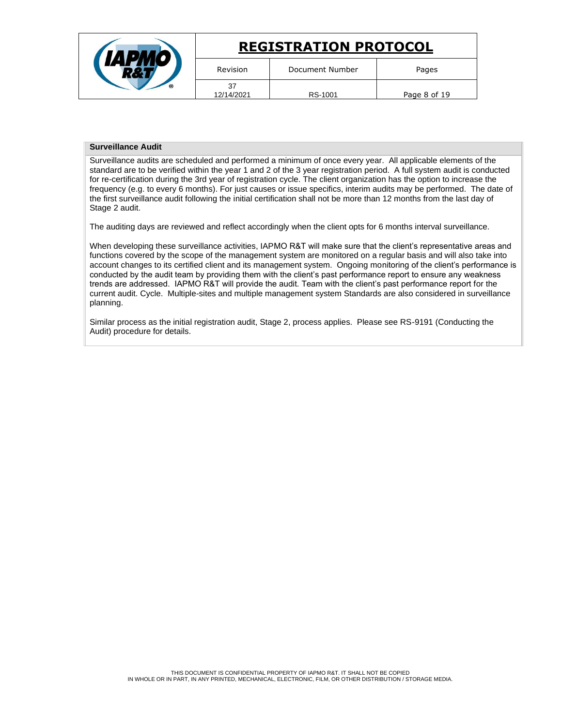|                  | <b>REGISTRATION PROTOCOL</b> |              |
|------------------|------------------------------|--------------|
| Revision         | Document Number              | Pages        |
| 37<br>12/14/2021 | RS-1001                      | Page 8 of 19 |

# **Surveillance Audit**

Surveillance audits are scheduled and performed a minimum of once every year. All applicable elements of the standard are to be verified within the year 1 and 2 of the 3 year registration period. A full system audit is conducted for re-certification during the 3rd year of registration cycle. The client organization has the option to increase the frequency (e.g. to every 6 months). For just causes or issue specifics, interim audits may be performed. The date of the first surveillance audit following the initial certification shall not be more than 12 months from the last day of Stage 2 audit.

The auditing days are reviewed and reflect accordingly when the client opts for 6 months interval surveillance.

When developing these surveillance activities, IAPMO R&T will make sure that the client's representative areas and functions covered by the scope of the management system are monitored on a regular basis and will also take into account changes to its certified client and its management system. Ongoing monitoring of the client's performance is conducted by the audit team by providing them with the client's past performance report to ensure any weakness trends are addressed. IAPMO R&T will provide the audit. Team with the client's past performance report for the current audit. Cycle. Multiple-sites and multiple management system Standards are also considered in surveillance planning.

Similar process as the initial registration audit, Stage 2, process applies. Please see RS-9191 (Conducting the Audit) procedure for details.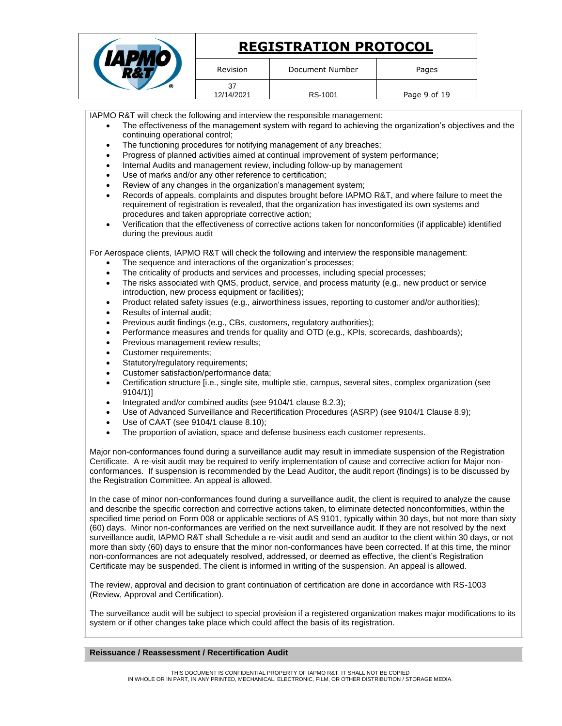|                  | <b>REGISTRATION PROTOCOL</b> |              |
|------------------|------------------------------|--------------|
| Revision         | Document Number              | Pages        |
| 37<br>12/14/2021 | RS-1001                      | Page 9 of 19 |

IAPMO R&T will check the following and interview the responsible management:

- The effectiveness of the management system with regard to achieving the organization's objectives and the continuing operational control;
- The functioning procedures for notifying management of any breaches;
- Progress of planned activities aimed at continual improvement of system performance;
- Internal Audits and management review, including follow-up by management
- Use of marks and/or any other reference to certification:
- Review of any changes in the organization's management system;
- Records of appeals, complaints and disputes brought before IAPMO R&T, and where failure to meet the requirement of registration is revealed, that the organization has investigated its own systems and procedures and taken appropriate corrective action;
- Verification that the effectiveness of corrective actions taken for nonconformities (if applicable) identified during the previous audit

For Aerospace clients, IAPMO R&T will check the following and interview the responsible management:

- The sequence and interactions of the organization's processes;
- The criticality of products and services and processes, including special processes;
- The risks associated with QMS, product, service, and process maturity (e.g., new product or service introduction, new process equipment or facilities);
- Product related safety issues (e.g., airworthiness issues, reporting to customer and/or authorities);
- Results of internal audit;
- Previous audit findings (e.g., CBs, customers, regulatory authorities);
- Performance measures and trends for quality and OTD (e.g., KPIs, scorecards, dashboards);
- Previous management review results;
- Customer requirements;
- Statutory/regulatory requirements;
- Customer satisfaction/performance data;
- Certification structure [i.e., single site, multiple stie, campus, several sites, complex organization (see 9104/1)]
- Integrated and/or combined audits (see 9104/1 clause 8.2.3);
- Use of Advanced Surveillance and Recertification Procedures (ASRP) (see 9104/1 Clause 8.9);
- Use of CAAT (see 9104/1 clause 8.10);
- The proportion of aviation, space and defense business each customer represents.

Major non-conformances found during a surveillance audit may result in immediate suspension of the Registration Certificate. A re-visit audit may be required to verify implementation of cause and corrective action for Major nonconformances. If suspension is recommended by the Lead Auditor, the audit report (findings) is to be discussed by the Registration Committee. An appeal is allowed.

In the case of minor non-conformances found during a surveillance audit, the client is required to analyze the cause and describe the specific correction and corrective actions taken, to eliminate detected nonconformities, within the specified time period on Form 008 or applicable sections of AS 9101, typically within 30 days, but not more than sixty (60) days. Minor non-conformances are verified on the next surveillance audit. If they are not resolved by the next surveillance audit, IAPMO R&T shall Schedule a re-visit audit and send an auditor to the client within 30 days, or not more than sixty (60) days to ensure that the minor non-conformances have been corrected. If at this time, the minor non-conformances are not adequately resolved, addressed, or deemed as effective, the client's Registration Certificate may be suspended. The client is informed in writing of the suspension. An appeal is allowed.

The review, approval and decision to grant continuation of certification are done in accordance with RS-1003 (Review, Approval and Certification).

The surveillance audit will be subject to special provision if a registered organization makes major modifications to its system or if other changes take place which could affect the basis of its registration.

# **Reissuance / Reassessment / Recertification Audit**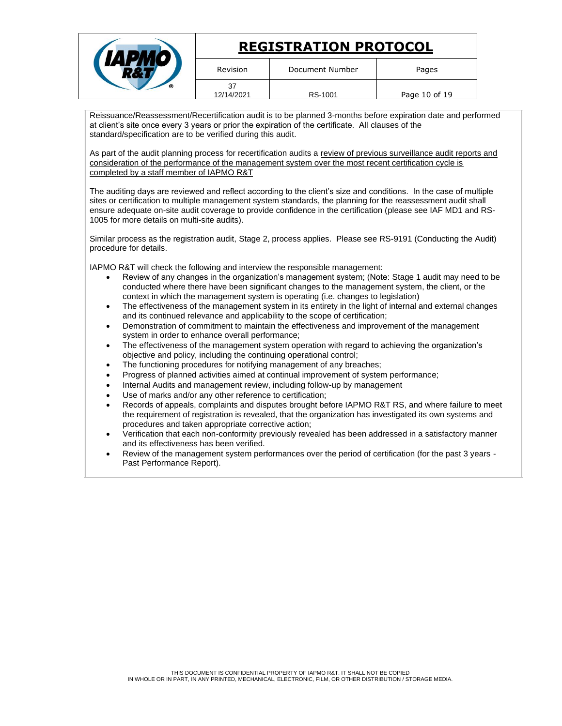|                  | <b>REGISTRATION PROTOCOL</b> |               |
|------------------|------------------------------|---------------|
| Revision         | Document Number              | Pages         |
| 37<br>12/14/2021 | RS-1001                      | Page 10 of 19 |

Reissuance/Reassessment/Recertification audit is to be planned 3-months before expiration date and performed at client's site once every 3 years or prior the expiration of the certificate. All clauses of the standard/specification are to be verified during this audit.

As part of the audit planning process for recertification audits a review of previous surveillance audit reports and consideration of the performance of the management system over the most recent certification cycle is completed by a staff member of IAPMO R&T

The auditing days are reviewed and reflect according to the client's size and conditions. In the case of multiple sites or certification to multiple management system standards, the planning for the reassessment audit shall ensure adequate on-site audit coverage to provide confidence in the certification (please see IAF MD1 and RS-1005 for more details on multi-site audits).

Similar process as the registration audit, Stage 2, process applies. Please see RS-9191 (Conducting the Audit) procedure for details.

IAPMO R&T will check the following and interview the responsible management:

- Review of any changes in the organization's management system; (Note: Stage 1 audit may need to be conducted where there have been significant changes to the management system, the client, or the context in which the management system is operating (i.e. changes to legislation)
- The effectiveness of the management system in its entirety in the light of internal and external changes and its continued relevance and applicability to the scope of certification;
- Demonstration of commitment to maintain the effectiveness and improvement of the management system in order to enhance overall performance;
- The effectiveness of the management system operation with regard to achieving the organization's objective and policy, including the continuing operational control;
- The functioning procedures for notifying management of any breaches;
- Progress of planned activities aimed at continual improvement of system performance;
- Internal Audits and management review, including follow-up by management
- Use of marks and/or any other reference to certification:
- Records of appeals, complaints and disputes brought before IAPMO R&T RS, and where failure to meet the requirement of registration is revealed, that the organization has investigated its own systems and procedures and taken appropriate corrective action;
- Verification that each non-conformity previously revealed has been addressed in a satisfactory manner and its effectiveness has been verified.
- Review of the management system performances over the period of certification (for the past 3 years Past Performance Report).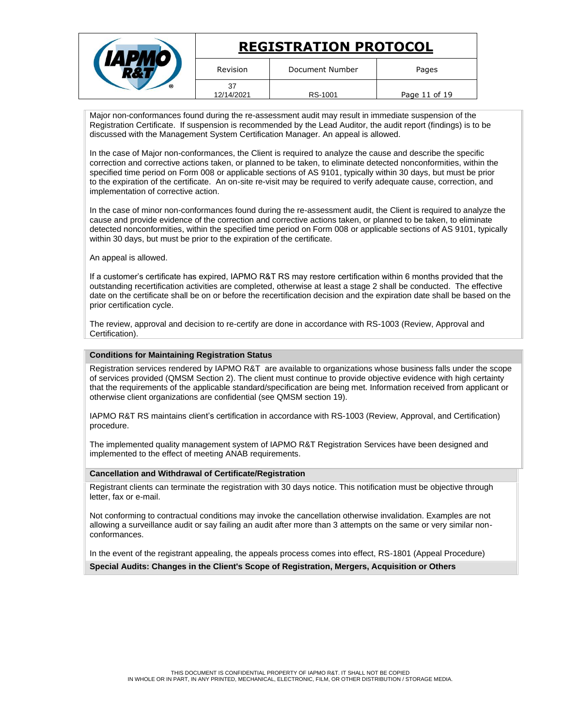|                  | <b>REGISTRATION PROTOCOL</b> |               |
|------------------|------------------------------|---------------|
| Revision         | Document Number              | Pages         |
| 37<br>12/14/2021 | RS-1001                      | Page 11 of 19 |

Major non-conformances found during the re-assessment audit may result in immediate suspension of the Registration Certificate. If suspension is recommended by the Lead Auditor, the audit report (findings) is to be discussed with the Management System Certification Manager. An appeal is allowed.

In the case of Major non-conformances, the Client is required to analyze the cause and describe the specific correction and corrective actions taken, or planned to be taken, to eliminate detected nonconformities, within the specified time period on Form 008 or applicable sections of AS 9101, typically within 30 days, but must be prior to the expiration of the certificate. An on-site re-visit may be required to verify adequate cause, correction, and implementation of corrective action.

In the case of minor non-conformances found during the re-assessment audit, the Client is required to analyze the cause and provide evidence of the correction and corrective actions taken, or planned to be taken, to eliminate detected nonconformities, within the specified time period on Form 008 or applicable sections of AS 9101, typically within 30 days, but must be prior to the expiration of the certificate.

An appeal is allowed.

If a customer's certificate has expired, IAPMO R&T RS may restore certification within 6 months provided that the outstanding recertification activities are completed, otherwise at least a stage 2 shall be conducted. The effective date on the certificate shall be on or before the recertification decision and the expiration date shall be based on the prior certification cycle.

The review, approval and decision to re-certify are done in accordance with RS-1003 (Review, Approval and Certification).

#### **Conditions for Maintaining Registration Status**

Registration services rendered by IAPMO R&T are available to organizations whose business falls under the scope of services provided (QMSM Section 2). The client must continue to provide objective evidence with high certainty that the requirements of the applicable standard/specification are being met. Information received from applicant or otherwise client organizations are confidential (see QMSM section 19).

IAPMO R&T RS maintains client's certification in accordance with RS-1003 (Review, Approval, and Certification) procedure.

The implemented quality management system of IAPMO R&T Registration Services have been designed and implemented to the effect of meeting ANAB requirements.

#### **Cancellation and Withdrawal of Certificate/Registration**

Registrant clients can terminate the registration with 30 days notice. This notification must be objective through letter, fax or e-mail.

Not conforming to contractual conditions may invoke the cancellation otherwise invalidation. Examples are not allowing a surveillance audit or say failing an audit after more than 3 attempts on the same or very similar nonconformances.

In the event of the registrant appealing, the appeals process comes into effect, RS-1801 (Appeal Procedure)

**Special Audits: Changes in the Client's Scope of Registration, Mergers, Acquisition or Others**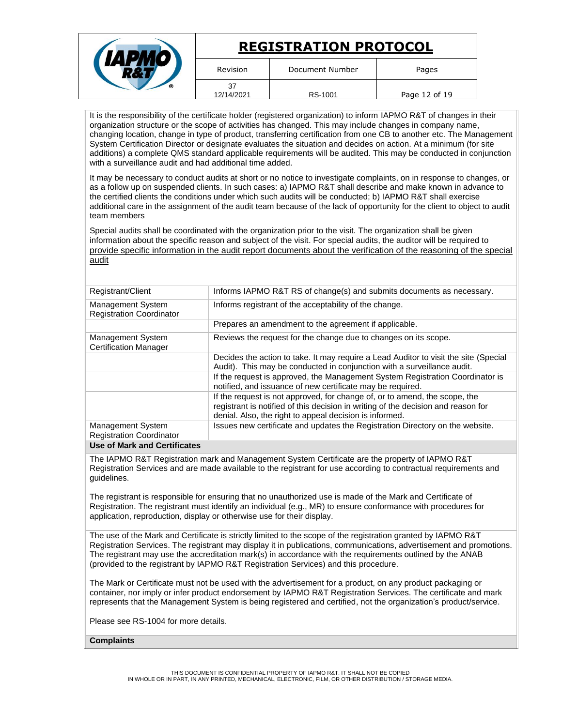|                  | <b>REGISTRATION PROTOCOL</b> |               |
|------------------|------------------------------|---------------|
| Revision         | Document Number              | Pages         |
| 37<br>12/14/2021 | RS-1001                      | Page 12 of 19 |

It is the responsibility of the certificate holder (registered organization) to inform IAPMO R&T of changes in their organization structure or the scope of activities has changed. This may include changes in company name, changing location, change in type of product, transferring certification from one CB to another etc. The Management System Certification Director or designate evaluates the situation and decides on action. At a minimum (for site additions) a complete QMS standard applicable requirements will be audited. This may be conducted in conjunction with a surveillance audit and had additional time added.

It may be necessary to conduct audits at short or no notice to investigate complaints, on in response to changes, or as a follow up on suspended clients. In such cases: a) IAPMO R&T shall describe and make known in advance to the certified clients the conditions under which such audits will be conducted; b) IAPMO R&T shall exercise additional care in the assignment of the audit team because of the lack of opportunity for the client to object to audit team members

Special audits shall be coordinated with the organization prior to the visit. The organization shall be given information about the specific reason and subject of the visit. For special audits, the auditor will be required to provide specific information in the audit report documents about the verification of the reasoning of the special audit

| Registrant/Client                                    | Informs IAPMO R&T RS of change(s) and submits documents as necessary.                                                                                                                                                      |
|------------------------------------------------------|----------------------------------------------------------------------------------------------------------------------------------------------------------------------------------------------------------------------------|
| Management System<br><b>Registration Coordinator</b> | Informs registrant of the acceptability of the change.                                                                                                                                                                     |
|                                                      | Prepares an amendment to the agreement if applicable.                                                                                                                                                                      |
| Management System<br><b>Certification Manager</b>    | Reviews the request for the change due to changes on its scope.                                                                                                                                                            |
|                                                      | Decides the action to take. It may require a Lead Auditor to visit the site (Special<br>Audit). This may be conducted in conjunction with a surveillance audit.                                                            |
|                                                      | If the request is approved, the Management System Registration Coordinator is<br>notified, and issuance of new certificate may be required.                                                                                |
|                                                      | If the request is not approved, for change of, or to amend, the scope, the<br>registrant is notified of this decision in writing of the decision and reason for<br>denial. Also, the right to appeal decision is informed. |
| Management System<br><b>Registration Coordinator</b> | Issues new certificate and updates the Registration Directory on the website.                                                                                                                                              |
| Llee of Merly and Contification                      |                                                                                                                                                                                                                            |

#### **Use of Mark and Certificates**

The IAPMO R&T Registration mark and Management System Certificate are the property of IAPMO R&T Registration Services and are made available to the registrant for use according to contractual requirements and guidelines.

The registrant is responsible for ensuring that no unauthorized use is made of the Mark and Certificate of Registration. The registrant must identify an individual (e.g., MR) to ensure conformance with procedures for application, reproduction, display or otherwise use for their display.

The use of the Mark and Certificate is strictly limited to the scope of the registration granted by IAPMO R&T Registration Services. The registrant may display it in publications, communications, advertisement and promotions. The registrant may use the accreditation mark(s) in accordance with the requirements outlined by the ANAB (provided to the registrant by IAPMO R&T Registration Services) and this procedure.

The Mark or Certificate must not be used with the advertisement for a product, on any product packaging or container, nor imply or infer product endorsement by IAPMO R&T Registration Services. The certificate and mark represents that the Management System is being registered and certified, not the organization's product/service.

Please see RS-1004 for more details.

# **Complaints**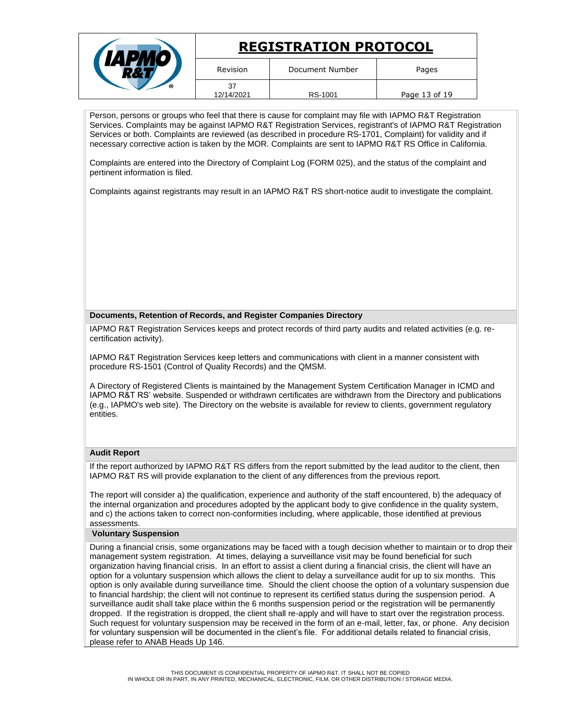|   |                  | <b>REGISTRATION PROTOCOL</b> |               |
|---|------------------|------------------------------|---------------|
|   | Revision         | Document Number              | Pages         |
| ര | 37<br>12/14/2021 | RS-1001                      | Page 13 of 19 |

Person, persons or groups who feel that there is cause for complaint may file with IAPMO R&T Registration Services. Complaints may be against IAPMO R&T Registration Services, registrant's of IAPMO R&T Registration Services or both. Complaints are reviewed (as described in procedure RS-1701, Complaint) for validity and if necessary corrective action is taken by the MOR. Complaints are sent to IAPMO R&T RS Office in California.

Complaints are entered into the Directory of Complaint Log (FORM 025), and the status of the complaint and pertinent information is filed.

Complaints against registrants may result in an IAPMO R&T RS short-notice audit to investigate the complaint.

# **Documents, Retention of Records, and Register Companies Directory**

IAPMO R&T Registration Services keeps and protect records of third party audits and related activities (e.g. recertification activity).

IAPMO R&T Registration Services keep letters and communications with client in a manner consistent with procedure RS-1501 (Control of Quality Records) and the QMSM.

A Directory of Registered Clients is maintained by the Management System Certification Manager in ICMD and IAPMO R&T RS' website. Suspended or withdrawn certificates are withdrawn from the Directory and publications (e.g., IAPMO's web site). The Directory on the website is available for review to clients, government regulatory entities.

# **Audit Report**

If the report authorized by IAPMO R&T RS differs from the report submitted by the lead auditor to the client, then IAPMO R&T RS will provide explanation to the client of any differences from the previous report.

The report will consider a) the qualification, experience and authority of the staff encountered, b) the adequacy of the internal organization and procedures adopted by the applicant body to give confidence in the quality system, and c) the actions taken to correct non-conformities including, where applicable, those identified at previous assessments.

# **Voluntary Suspension**

During a financial crisis, some organizations may be faced with a tough decision whether to maintain or to drop their management system registration. At times, delaying a surveillance visit may be found beneficial for such organization having financial crisis. In an effort to assist a client during a financial crisis, the client will have an option for a voluntary suspension which allows the client to delay a surveillance audit for up to six months. This option is only available during surveillance time. Should the client choose the option of a voluntary suspension due to financial hardship; the client will not continue to represent its certified status during the suspension period. A surveillance audit shall take place within the 6 months suspension period or the registration will be permanently dropped. If the registration is dropped, the client shall re-apply and will have to start over the registration process. Such request for voluntary suspension may be received in the form of an e-mail, letter, fax, or phone. Any decision for voluntary suspension will be documented in the client's file. For additional details related to financial crisis, please refer to ANAB Heads Up 146.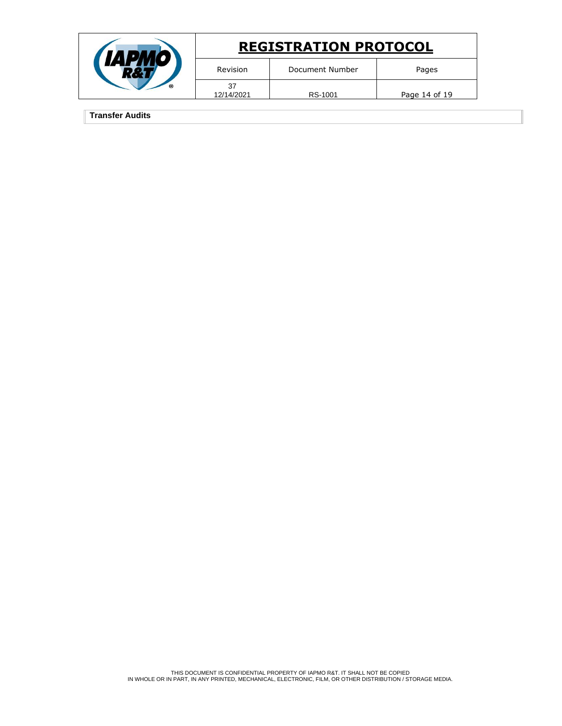|   |            | <b>REGISTRATION PROTOCOL</b> |               |
|---|------------|------------------------------|---------------|
|   | Revision   | Document Number              | Pages         |
| ര | 12/14/2021 | RS-1001                      | Page 14 of 19 |

**Transfer Audits**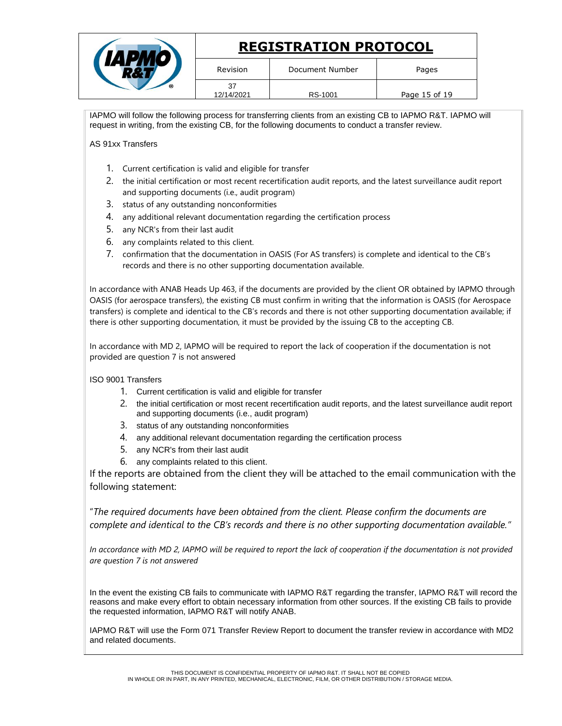|   |                  | <b>REGISTRATION PROTOCOL</b> |               |
|---|------------------|------------------------------|---------------|
|   | Revision         | Document Number              | Pages         |
| ര | 37<br>12/14/2021 | RS-1001                      | Page 15 of 19 |

IAPMO will follow the following process for transferring clients from an existing CB to IAPMO R&T. IAPMO will request in writing, from the existing CB, for the following documents to conduct a transfer review.

AS 91xx Transfers

- 1. Current certification is valid and eligible for transfer
- 2. the initial certification or most recent recertification audit reports, and the latest surveillance audit report and supporting documents (i.e., audit program)
- 3. status of any outstanding nonconformities
- 4. any additional relevant documentation regarding the certification process
- 5. any NCR's from their last audit
- 6. any complaints related to this client.
- 7. confirmation that the documentation in OASIS (For AS transfers) is complete and identical to the CB's records and there is no other supporting documentation available.

In accordance with ANAB Heads Up 463, if the documents are provided by the client OR obtained by IAPMO through OASIS (for aerospace transfers), the existing CB must confirm in writing that the information is OASIS (for Aerospace transfers) is complete and identical to the CB's records and there is not other supporting documentation available; if there is other supporting documentation, it must be provided by the issuing CB to the accepting CB.

In accordance with MD 2, IAPMO will be required to report the lack of cooperation if the documentation is not provided are question 7 is not answered

ISO 9001 Transfers

- 1. Current certification is valid and eligible for transfer
- 2. the initial certification or most recent recertification audit reports, and the latest surveillance audit report and supporting documents (i.e., audit program)
- 3. status of any outstanding nonconformities
- 4. any additional relevant documentation regarding the certification process
- 5. any NCR's from their last audit
- 6. any complaints related to this client.

If the reports are obtained from the client they will be attached to the email communication with the following statement:

"*The required documents have been obtained from the client. Please confirm the documents are complete and identical to the CB's records and there is no other supporting documentation available."*

*In accordance with MD 2, IAPMO will be required to report the lack of cooperation if the documentation is not provided are question 7 is not answered*

In the event the existing CB fails to communicate with IAPMO R&T regarding the transfer, IAPMO R&T will record the reasons and make every effort to obtain necessary information from other sources. If the existing CB fails to provide the requested information, IAPMO R&T will notify ANAB.

IAPMO R&T will use the Form 071 Transfer Review Report to document the transfer review in accordance with MD2 and related documents.

THIS DOCUMENT IS CONFIDENTIAL PROPERTY OF IAPMO R&T. IT SHALL NOT BE COPIED IN WHOLE OR IN PART, IN ANY PRINTED, MECHANICAL, ELECTRONIC, FILM, OR OTHER DISTRIBUTION / STORAGE MEDIA.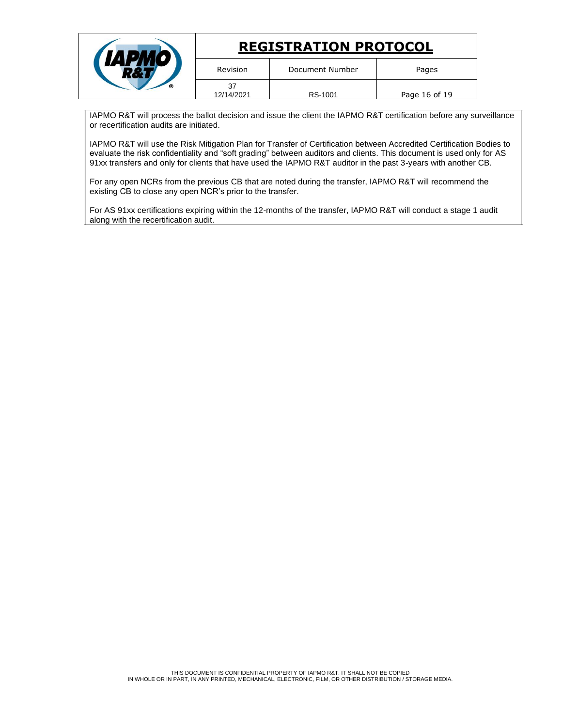|                  | <b>REGISTRATION PROTOCOL</b> |               |
|------------------|------------------------------|---------------|
| Revision         | Document Number              | Pages         |
| 37<br>12/14/2021 | RS-1001                      | Page 16 of 19 |

IAPMO R&T will process the ballot decision and issue the client the IAPMO R&T certification before any surveillance or recertification audits are initiated.

IAPMO R&T will use the Risk Mitigation Plan for Transfer of Certification between Accredited Certification Bodies to evaluate the risk confidentiality and "soft grading" between auditors and clients. This document is used only for AS 91xx transfers and only for clients that have used the IAPMO R&T auditor in the past 3-years with another CB.

For any open NCRs from the previous CB that are noted during the transfer, IAPMO R&T will recommend the existing CB to close any open NCR's prior to the transfer.

For AS 91xx certifications expiring within the 12-months of the transfer, IAPMO R&T will conduct a stage 1 audit along with the recertification audit.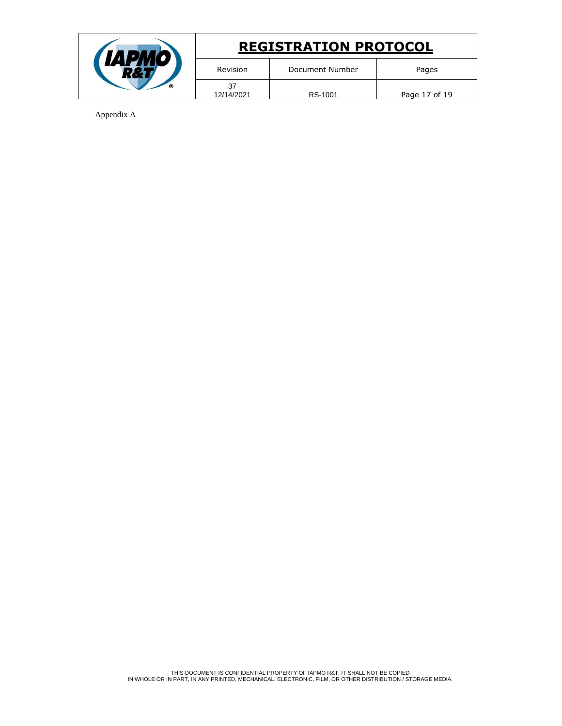

Appendix A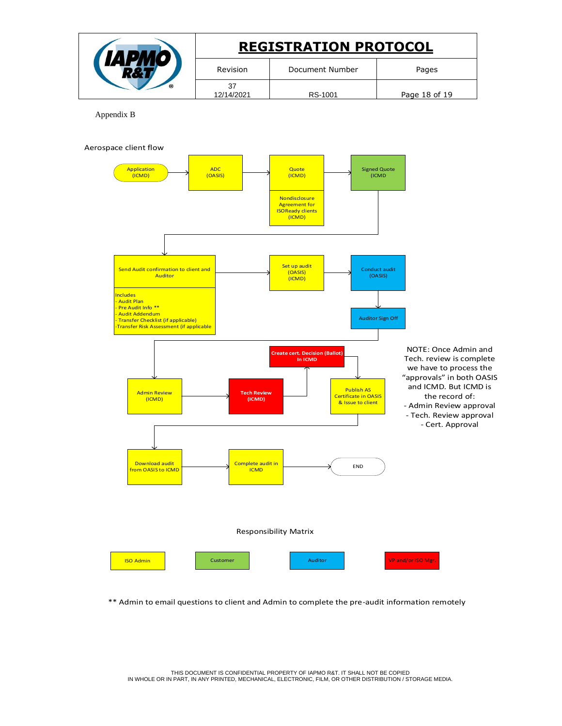| <b>REGISTRATION PROTOCOL</b> |                 |               |
|------------------------------|-----------------|---------------|
| Revision                     | Document Number | Pages         |
| 37<br>12/14/2021             | RS-1001         | Page 18 of 19 |

Appendix B



\*\* Admin to email questions to client and Admin to complete the pre-audit information remotely